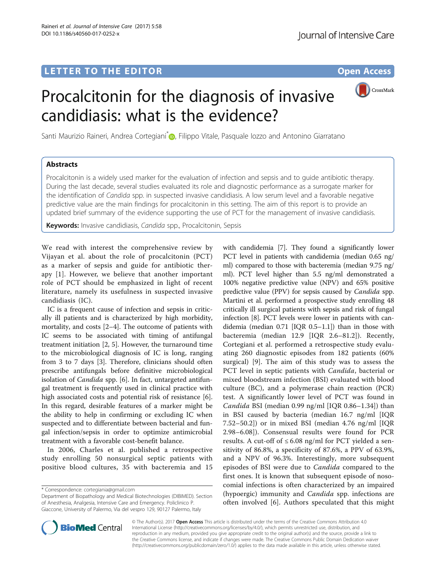

Santi Maurizio Raineri, Andrea Cortegiani<sup>[\\*](http://orcid.org/0000-0003-1416-9993)</sup> , Filippo Vitale, Pasquale Iozzo and Antonino Giarratano

Procalcitonin for the diagnosis of invasive

candidiasis: what is the evidence?

# **Abstracts**

Procalcitonin is a widely used marker for the evaluation of infection and sepsis and to guide antibiotic therapy. During the last decade, several studies evaluated its role and diagnostic performance as a surrogate marker for the identification of Candida spp. in suspected invasive candidiasis. A low serum level and a favorable negative predictive value are the main findings for procalcitonin in this setting. The aim of this report is to provide an updated brief summary of the evidence supporting the use of PCT for the management of invasive candidiasis.

**Keywords:** Invasive candidiasis, Candida spp., Procalcitonin, Sepsis

We read with interest the comprehensive review by Vijayan et al. about the role of procalcitonin (PCT) as a marker of sepsis and guide for antibiotic therapy [\[1](#page-1-0)]. However, we believe that another important role of PCT should be emphasized in light of recent literature, namely its usefulness in suspected invasive candidiasis (IC).

IC is a frequent cause of infection and sepsis in critically ill patients and is characterized by high morbidity, mortality, and costs [[2](#page-1-0)–[4\]](#page-1-0). The outcome of patients with IC seems to be associated with timing of antifungal treatment initiation [[2, 5\]](#page-1-0). However, the turnaround time to the microbiological diagnosis of IC is long, ranging from 3 to 7 days [[3](#page-1-0)]. Therefore, clinicians should often prescribe antifungals before definitive microbiological isolation of *Candida* spp. [\[6](#page-1-0)]. In fact, untargeted antifungal treatment is frequently used in clinical practice with high associated costs and potential risk of resistance [\[6](#page-1-0)]. In this regard, desirable features of a marker might be the ability to help in confirming or excluding IC when suspected and to differentiate between bacterial and fungal infection/sepsis in order to optimize antimicrobial treatment with a favorable cost-benefit balance.

In 2006, Charles et al. published a retrospective study enrolling 50 nonsurgical septic patients with positive blood cultures, 35 with bacteremia and 15

Department of Biopathology and Medical Biotechnologies (DIBIMED). Section of Anesthesia, Analgesia, Intensive Care and Emergency. Policlinico P. Giaccone, University of Palermo, Via del vespro 129, 90127 Palermo, Italy





© The Author(s). 2017 Open Access This article is distributed under the terms of the Creative Commons Attribution 4.0 International License [\(http://creativecommons.org/licenses/by/4.0/](http://creativecommons.org/licenses/by/4.0/)), which permits unrestricted use, distribution, and reproduction in any medium, provided you give appropriate credit to the original author(s) and the source, provide a link to the Creative Commons license, and indicate if changes were made. The Creative Commons Public Domain Dedication waiver [\(http://creativecommons.org/publicdomain/zero/1.0/](http://creativecommons.org/publicdomain/zero/1.0/)) applies to the data made available in this article, unless otherwise stated.

<sup>\*</sup> Correspondence: [cortegiania@gmail.com](mailto:cortegiania@gmail.com)